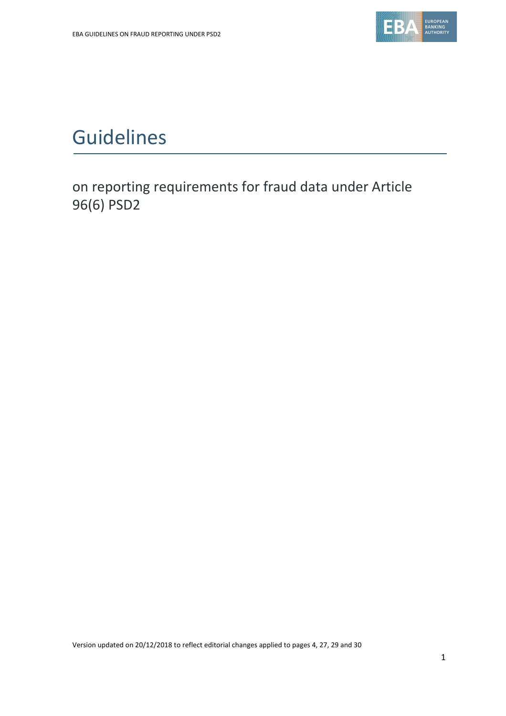

# Guidelines

on reporting requirements for fraud data under Article 96(6) PSD2

Version updated on 20/12/2018 to reflect editorial changes applied to pages 4, 27, 29 and 30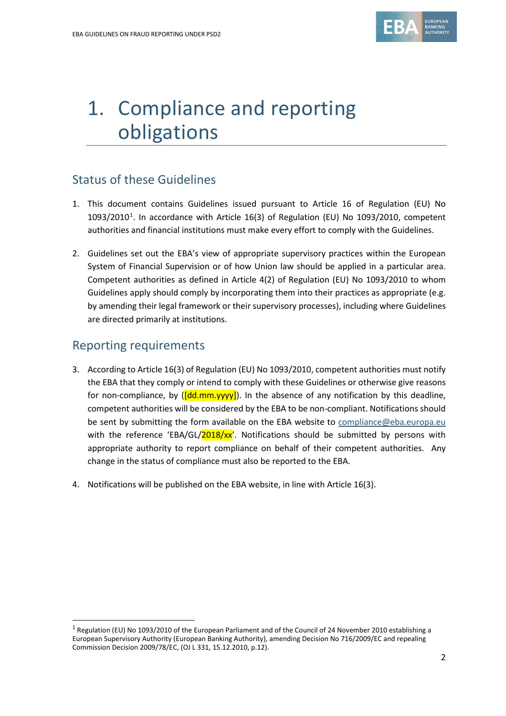

# 1. Compliance and reporting obligations

# Status of these Guidelines

- 1. This document contains Guidelines issued pursuant to Article 16 of Regulation (EU) No  $1093/2010<sup>1</sup>$  $1093/2010<sup>1</sup>$ . In accordance with Article 16(3) of Regulation (EU) No 1093/2010, competent authorities and financial institutions must make every effort to comply with the Guidelines.
- 2. Guidelines set out the EBA's view of appropriate supervisory practices within the European System of Financial Supervision or of how Union law should be applied in a particular area. Competent authorities as defined in Article 4(2) of Regulation (EU) No 1093/2010 to whom Guidelines apply should comply by incorporating them into their practices as appropriate (e.g. by amending their legal framework or their supervisory processes), including where Guidelines are directed primarily at institutions.

## Reporting requirements

 $\overline{a}$ 

- 3. According to Article 16(3) of Regulation (EU) No 1093/2010, competent authorities must notify the EBA that they comply or intend to comply with these Guidelines or otherwise give reasons for non-compliance, by  $(\frac{Id}{d}mm\cdot yyy)$ . In the absence of any notification by this deadline, competent authorities will be considered by the EBA to be non-compliant. Notifications should be sent by submitting the form available on the EBA website to [compliance@eba.europa.eu](mailto:compliance@eba.europa.eu) with the reference 'EBA/GL/ $2018/xx'$ . Notifications should be submitted by persons with appropriate authority to report compliance on behalf of their competent authorities. Any change in the status of compliance must also be reported to the EBA.
- 4. Notifications will be published on the EBA website, in line with Article 16(3).

<span id="page-1-0"></span> $1$  Regulation (EU) No 1093/2010 of the European Parliament and of the Council of 24 November 2010 establishing a European Supervisory Authority (European Banking Authority), amending Decision No 716/2009/EC and repealing Commission Decision 2009/78/EC, (OJ L 331, 15.12.2010, p.12).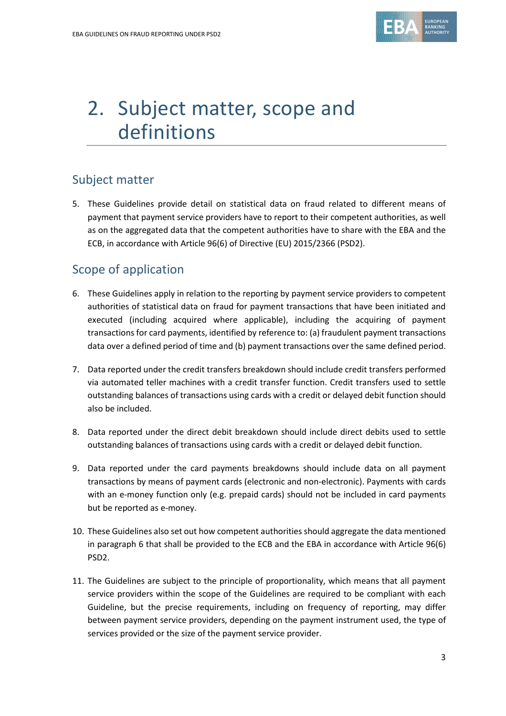

# 2. Subject matter, scope and definitions

# Subject matter

5. These Guidelines provide detail on statistical data on fraud related to different means of payment that payment service providers have to report to their competent authorities, as well as on the aggregated data that the competent authorities have to share with the EBA and the ECB, in accordance with Article 96(6) of Directive (EU) 2015/2366 (PSD2).

# Scope of application

- 6. These Guidelines apply in relation to the reporting by payment service providers to competent authorities of statistical data on fraud for payment transactions that have been initiated and executed (including acquired where applicable), including the acquiring of payment transactions for card payments, identified by reference to: (a) fraudulent payment transactions data over a defined period of time and (b) payment transactions over the same defined period.
- 7. Data reported under the credit transfers breakdown should include credit transfers performed via automated teller machines with a credit transfer function. Credit transfers used to settle outstanding balances of transactions using cards with a credit or delayed debit function should also be included.
- 8. Data reported under the direct debit breakdown should include direct debits used to settle outstanding balances of transactions using cards with a credit or delayed debit function.
- 9. Data reported under the card payments breakdowns should include data on all payment transactions by means of payment cards (electronic and non-electronic). Payments with cards with an e-money function only (e.g. prepaid cards) should not be included in card payments but be reported as e-money.
- 10. These Guidelines also set out how competent authorities should aggregate the data mentioned in paragraph 6 that shall be provided to the ECB and the EBA in accordance with Article 96(6) PSD2.
- 11. The Guidelines are subject to the principle of proportionality, which means that all payment service providers within the scope of the Guidelines are required to be compliant with each Guideline, but the precise requirements, including on frequency of reporting, may differ between payment service providers, depending on the payment instrument used, the type of services provided or the size of the payment service provider.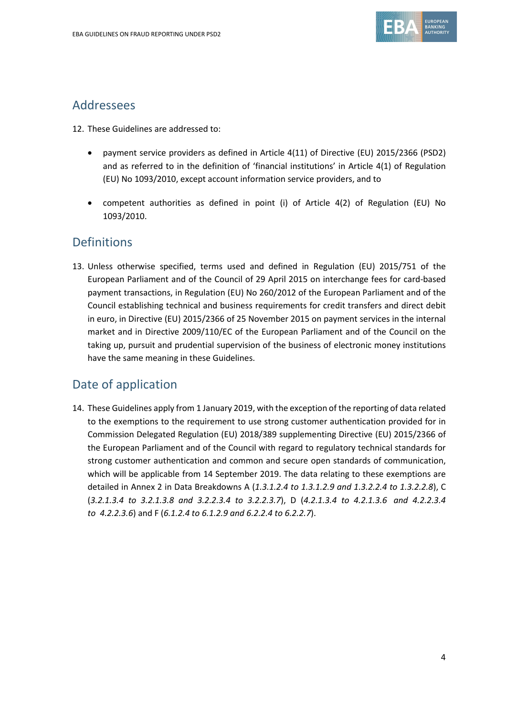

## Addressees

- 12. These Guidelines are addressed to:
	- payment service providers as defined in Article 4(11) of Directive (EU) 2015/2366 (PSD2) and as referred to in the definition of 'financial institutions' in Article 4(1) of Regulation (EU) No 1093/2010, except account information service providers, and to
	- competent authorities as defined in point (i) of Article 4(2) of Regulation (EU) No 1093/2010.

## Definitions

13. Unless otherwise specified, terms used and defined in Regulation (EU) 2015/751 of the European Parliament and of the Council of 29 April 2015 on interchange fees for card-based payment transactions, in Regulation (EU) No 260/2012 of the European Parliament and of the Council establishing technical and business requirements for credit transfers and direct debit in euro, in Directive (EU) 2015/2366 of 25 November 2015 on payment services in the internal market and in Directive 2009/110/EC of the European Parliament and of the Council on the taking up, pursuit and prudential supervision of the business of electronic money institutions have the same meaning in these Guidelines.

# Date of application

14. These Guidelines apply from 1 January 2019, with the exception of the reporting of data related to the exemptions to the requirement to use strong customer authentication provided for in Commission Delegated Regulation (EU) 2018/389 supplementing Directive (EU) 2015/2366 of the European Parliament and of the Council with regard to regulatory technical standards for strong customer authentication and common and secure open standards of communication, which will be applicable from 14 September 2019. The data relating to these exemptions are detailed in Annex 2 in Data Breakdowns A (*1.3.1.2.4 to 1.3.1.2.9 and 1.3.2.2.4 to 1.3.2.2.8*), C (*3.2.1.3.4 to 3.2.1.3.8 and 3.2.2.3.4 to 3.2.2.3.7*), D (*4.2.1.3.4 to 4.2.1.3.6 and 4.2.2.3.4 to 4.2.2.3.6*) and F (*6.1.2.4 to 6.1.2.9 and 6.2.2.4 to 6.2.2.7*).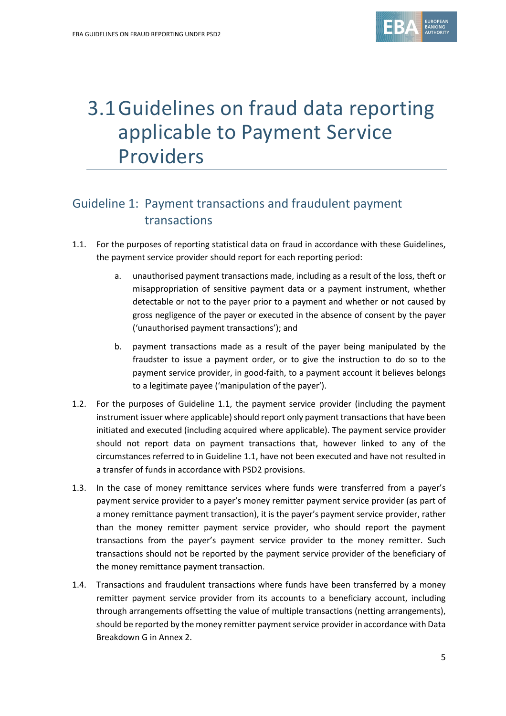

# 3.1Guidelines on fraud data reporting applicable to Payment Service Providers

# Guideline 1: Payment transactions and fraudulent payment transactions

- 1.1. For the purposes of reporting statistical data on fraud in accordance with these Guidelines, the payment service provider should report for each reporting period:
	- a. unauthorised payment transactions made, including as a result of the loss, theft or misappropriation of sensitive payment data or a payment instrument, whether detectable or not to the payer prior to a payment and whether or not caused by gross negligence of the payer or executed in the absence of consent by the payer ('unauthorised payment transactions'); and
	- b. payment transactions made as a result of the payer being manipulated by the fraudster to issue a payment order, or to give the instruction to do so to the payment service provider, in good-faith, to a payment account it believes belongs to a legitimate payee ('manipulation of the payer').
- 1.2. For the purposes of Guideline 1.1, the payment service provider (including the payment instrument issuer where applicable) should report only payment transactions that have been initiated and executed (including acquired where applicable). The payment service provider should not report data on payment transactions that, however linked to any of the circumstances referred to in Guideline 1.1, have not been executed and have not resulted in a transfer of funds in accordance with PSD2 provisions.
- 1.3. In the case of money remittance services where funds were transferred from a payer's payment service provider to a payer's money remitter payment service provider (as part of a money remittance payment transaction), it is the payer's payment service provider, rather than the money remitter payment service provider, who should report the payment transactions from the payer's payment service provider to the money remitter. Such transactions should not be reported by the payment service provider of the beneficiary of the money remittance payment transaction.
- 1.4. Transactions and fraudulent transactions where funds have been transferred by a money remitter payment service provider from its accounts to a beneficiary account, including through arrangements offsetting the value of multiple transactions (netting arrangements), should be reported by the money remitter payment service provider in accordance with Data Breakdown G in Annex 2.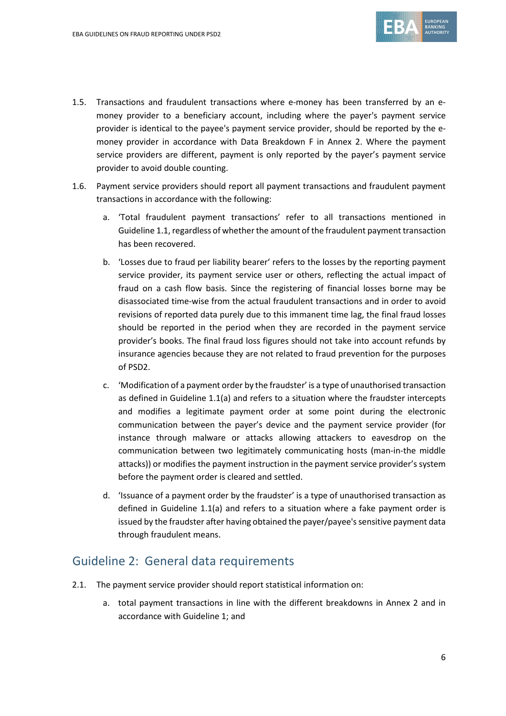

- 1.5. Transactions and fraudulent transactions where e-money has been transferred by an emoney provider to a beneficiary account, including where the payer's payment service provider is identical to the payee's payment service provider, should be reported by the emoney provider in accordance with Data Breakdown F in Annex 2. Where the payment service providers are different, payment is only reported by the payer's payment service provider to avoid double counting.
- 1.6. Payment service providers should report all payment transactions and fraudulent payment transactions in accordance with the following:
	- a. 'Total fraudulent payment transactions' refer to all transactions mentioned in Guideline 1.1, regardless of whether the amount of the fraudulent payment transaction has been recovered.
	- b. 'Losses due to fraud per liability bearer' refers to the losses by the reporting payment service provider, its payment service user or others, reflecting the actual impact of fraud on a cash flow basis. Since the registering of financial losses borne may be disassociated time-wise from the actual fraudulent transactions and in order to avoid revisions of reported data purely due to this immanent time lag, the final fraud losses should be reported in the period when they are recorded in the payment service provider's books. The final fraud loss figures should not take into account refunds by insurance agencies because they are not related to fraud prevention for the purposes of PSD2.
	- c. 'Modification of a payment order by the fraudster' is a type of unauthorised transaction as defined in Guideline 1.1(a) and refers to a situation where the fraudster intercepts and modifies a legitimate payment order at some point during the electronic communication between the payer's device and the payment service provider (for instance through malware or attacks allowing attackers to eavesdrop on the communication between two legitimately communicating hosts (man-in-the middle attacks)) or modifies the payment instruction in the payment service provider's system before the payment order is cleared and settled.
	- d. 'Issuance of a payment order by the fraudster' is a type of unauthorised transaction as defined in Guideline 1.1(a) and refers to a situation where a fake payment order is issued by the fraudster after having obtained the payer/payee's sensitive payment data through fraudulent means.

## Guideline 2: General data requirements

- 2.1. The payment service provider should report statistical information on:
	- a. total payment transactions in line with the different breakdowns in Annex 2 and in accordance with Guideline 1; and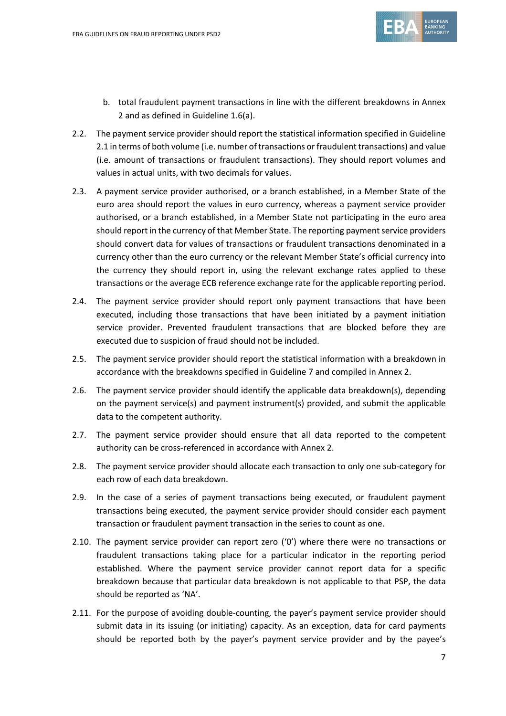

- b. total fraudulent payment transactions in line with the different breakdowns in Annex 2 and as defined in Guideline 1.6(a).
- 2.2. The payment service provider should report the statistical information specified in Guideline 2.1 in terms of both volume (i.e. number of transactions or fraudulent transactions) and value (i.e. amount of transactions or fraudulent transactions). They should report volumes and values in actual units, with two decimals for values.
- 2.3. A payment service provider authorised, or a branch established, in a Member State of the euro area should report the values in euro currency, whereas a payment service provider authorised, or a branch established, in a Member State not participating in the euro area should report in the currency of that Member State. The reporting payment service providers should convert data for values of transactions or fraudulent transactions denominated in a currency other than the euro currency or the relevant Member State's official currency into the currency they should report in, using the relevant exchange rates applied to these transactions or the average ECB reference exchange rate for the applicable reporting period.
- 2.4. The payment service provider should report only payment transactions that have been executed, including those transactions that have been initiated by a payment initiation service provider. Prevented fraudulent transactions that are blocked before they are executed due to suspicion of fraud should not be included.
- 2.5. The payment service provider should report the statistical information with a breakdown in accordance with the breakdowns specified in Guideline 7 and compiled in Annex 2.
- 2.6. The payment service provider should identify the applicable data breakdown(s), depending on the payment service(s) and payment instrument(s) provided, and submit the applicable data to the competent authority.
- 2.7. The payment service provider should ensure that all data reported to the competent authority can be cross-referenced in accordance with Annex 2.
- 2.8. The payment service provider should allocate each transaction to only one sub-category for each row of each data breakdown.
- 2.9. In the case of a series of payment transactions being executed, or fraudulent payment transactions being executed, the payment service provider should consider each payment transaction or fraudulent payment transaction in the series to count as one.
- 2.10. The payment service provider can report zero ('0') where there were no transactions or fraudulent transactions taking place for a particular indicator in the reporting period established. Where the payment service provider cannot report data for a specific breakdown because that particular data breakdown is not applicable to that PSP, the data should be reported as 'NA'.
- 2.11. For the purpose of avoiding double-counting, the payer's payment service provider should submit data in its issuing (or initiating) capacity. As an exception, data for card payments should be reported both by the payer's payment service provider and by the payee's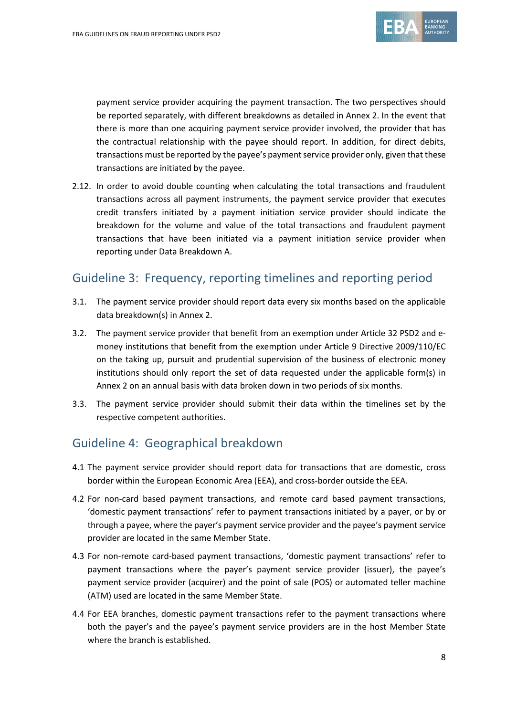

payment service provider acquiring the payment transaction. The two perspectives should be reported separately, with different breakdowns as detailed in Annex 2. In the event that there is more than one acquiring payment service provider involved, the provider that has the contractual relationship with the payee should report. In addition, for direct debits, transactions must be reported by the payee's payment service provider only, given that these transactions are initiated by the payee.

2.12. In order to avoid double counting when calculating the total transactions and fraudulent transactions across all payment instruments, the payment service provider that executes credit transfers initiated by a payment initiation service provider should indicate the breakdown for the volume and value of the total transactions and fraudulent payment transactions that have been initiated via a payment initiation service provider when reporting under Data Breakdown A.

## Guideline 3: Frequency, reporting timelines and reporting period

- 3.1. The payment service provider should report data every six months based on the applicable data breakdown(s) in Annex 2.
- 3.2. The payment service provider that benefit from an exemption under Article 32 PSD2 and emoney institutions that benefit from the exemption under Article 9 Directive 2009/110/EC on the taking up, pursuit and prudential supervision of the business of electronic money institutions should only report the set of data requested under the applicable form(s) in Annex 2 on an annual basis with data broken down in two periods of six months.
- 3.3. The payment service provider should submit their data within the timelines set by the respective competent authorities.

## Guideline 4: Geographical breakdown

- 4.1 The payment service provider should report data for transactions that are domestic, cross border within the European Economic Area (EEA), and cross-border outside the EEA.
- 4.2 For non-card based payment transactions, and remote card based payment transactions, 'domestic payment transactions' refer to payment transactions initiated by a payer, or by or through a payee, where the payer's payment service provider and the payee's payment service provider are located in the same Member State.
- 4.3 For non-remote card-based payment transactions, 'domestic payment transactions' refer to payment transactions where the payer's payment service provider (issuer), the payee's payment service provider (acquirer) and the point of sale (POS) or automated teller machine (ATM) used are located in the same Member State.
- 4.4 For EEA branches, domestic payment transactions refer to the payment transactions where both the payer's and the payee's payment service providers are in the host Member State where the branch is established.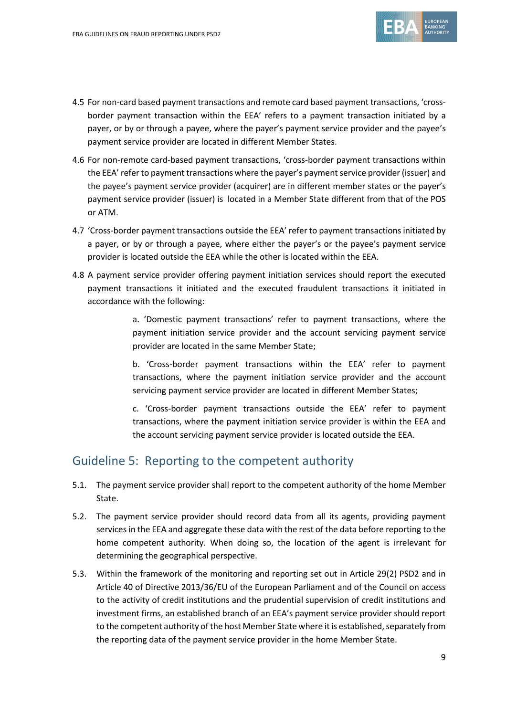

- 4.5 For non-card based payment transactions and remote card based payment transactions, 'crossborder payment transaction within the EEA' refers to a payment transaction initiated by a payer, or by or through a payee, where the payer's payment service provider and the payee's payment service provider are located in different Member States.
- 4.6 For non-remote card-based payment transactions, 'cross-border payment transactions within the EEA' refer to payment transactions where the payer's payment service provider (issuer) and the payee's payment service provider (acquirer) are in different member states or the payer's payment service provider (issuer) is located in a Member State different from that of the POS or ATM.
- 4.7 'Cross-border payment transactions outside the EEA' refer to payment transactions initiated by a payer, or by or through a payee, where either the payer's or the payee's payment service provider is located outside the EEA while the other is located within the EEA.
- 4.8 A payment service provider offering payment initiation services should report the executed payment transactions it initiated and the executed fraudulent transactions it initiated in accordance with the following:

a. 'Domestic payment transactions' refer to payment transactions, where the payment initiation service provider and the account servicing payment service provider are located in the same Member State;

b. 'Cross-border payment transactions within the EEA' refer to payment transactions, where the payment initiation service provider and the account servicing payment service provider are located in different Member States;

c. 'Cross-border payment transactions outside the EEA' refer to payment transactions, where the payment initiation service provider is within the EEA and the account servicing payment service provider is located outside the EEA.

## Guideline 5: Reporting to the competent authority

- 5.1. The payment service provider shall report to the competent authority of the home Member State.
- 5.2. The payment service provider should record data from all its agents, providing payment services in the EEA and aggregate these data with the rest of the data before reporting to the home competent authority. When doing so, the location of the agent is irrelevant for determining the geographical perspective.
- 5.3. Within the framework of the monitoring and reporting set out in Article 29(2) PSD2 and in Article 40 of Directive 2013/36/EU of the European Parliament and of the Council on access to the activity of credit institutions and the prudential supervision of credit institutions and investment firms, an established branch of an EEA's payment service provider should report to the competent authority of the host Member State where it is established, separately from the reporting data of the payment service provider in the home Member State.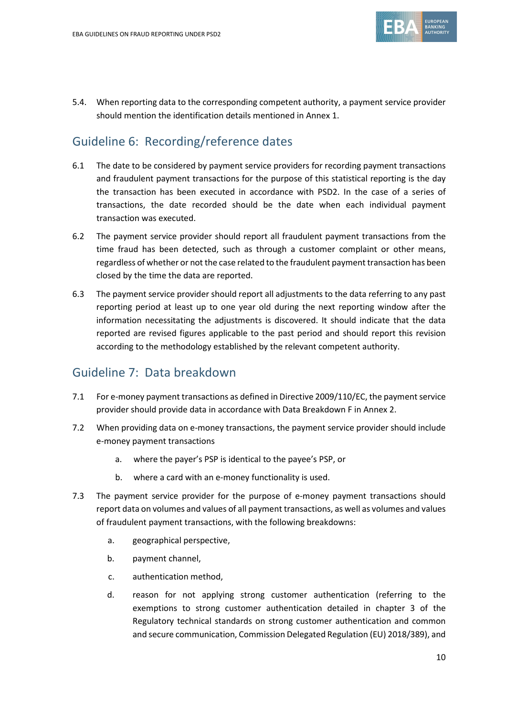

5.4. When reporting data to the corresponding competent authority, a payment service provider should mention the identification details mentioned in Annex 1.

# Guideline 6: Recording/reference dates

- 6.1 The date to be considered by payment service providers for recording payment transactions and fraudulent payment transactions for the purpose of this statistical reporting is the day the transaction has been executed in accordance with PSD2. In the case of a series of transactions, the date recorded should be the date when each individual payment transaction was executed.
- 6.2 The payment service provider should report all fraudulent payment transactions from the time fraud has been detected, such as through a customer complaint or other means, regardless of whether or not the case related to the fraudulent payment transaction has been closed by the time the data are reported.
- 6.3 The payment service provider should report all adjustments to the data referring to any past reporting period at least up to one year old during the next reporting window after the information necessitating the adjustments is discovered. It should indicate that the data reported are revised figures applicable to the past period and should report this revision according to the methodology established by the relevant competent authority.

## Guideline 7: Data breakdown

- 7.1 For e-money payment transactions as defined in Directive 2009/110/EC, the payment service provider should provide data in accordance with Data Breakdown F in Annex 2.
- 7.2 When providing data on e-money transactions, the payment service provider should include e-money payment transactions
	- a. where the payer's PSP is identical to the payee's PSP, or
	- b. where a card with an e-money functionality is used.
- 7.3 The payment service provider for the purpose of e-money payment transactions should report data on volumes and values of all payment transactions, as well as volumes and values of fraudulent payment transactions, with the following breakdowns:
	- a. geographical perspective,
	- b. payment channel,
	- c. authentication method,
	- d. reason for not applying strong customer authentication (referring to the exemptions to strong customer authentication detailed in chapter 3 of the Regulatory technical standards on strong customer authentication and common and secure communication, Commission Delegated Regulation (EU) 2018/389), and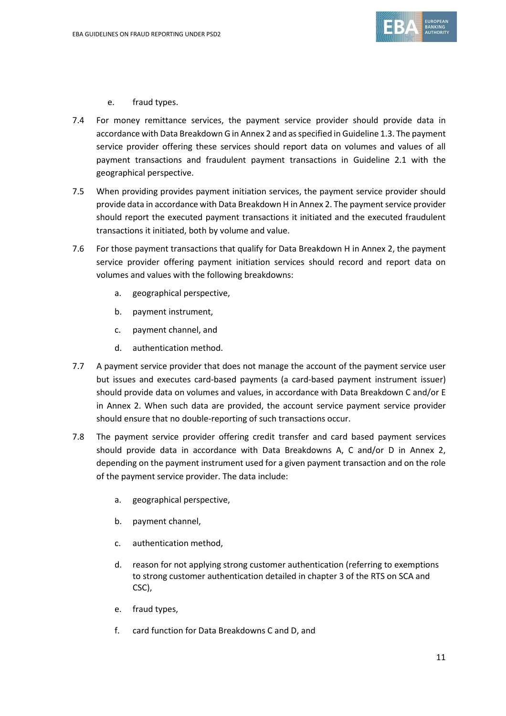

- e. fraud types.
- 7.4 For money remittance services, the payment service provider should provide data in accordance with Data Breakdown G in Annex 2 and as specified in Guideline 1.3. The payment service provider offering these services should report data on volumes and values of all payment transactions and fraudulent payment transactions in Guideline 2.1 with the geographical perspective.
- 7.5 When providing provides payment initiation services, the payment service provider should provide data in accordance with Data Breakdown H in Annex 2. The payment service provider should report the executed payment transactions it initiated and the executed fraudulent transactions it initiated, both by volume and value.
- 7.6 For those payment transactions that qualify for Data Breakdown H in Annex 2, the payment service provider offering payment initiation services should record and report data on volumes and values with the following breakdowns:
	- a. geographical perspective,
	- b. payment instrument,
	- c. payment channel, and
	- d. authentication method.
- 7.7 A payment service provider that does not manage the account of the payment service user but issues and executes card-based payments (a card-based payment instrument issuer) should provide data on volumes and values, in accordance with Data Breakdown C and/or E in Annex 2. When such data are provided, the account service payment service provider should ensure that no double-reporting of such transactions occur.
- 7.8 The payment service provider offering credit transfer and card based payment services should provide data in accordance with Data Breakdowns A, C and/or D in Annex 2, depending on the payment instrument used for a given payment transaction and on the role of the payment service provider. The data include:
	- a. geographical perspective,
	- b. payment channel,
	- c. authentication method,
	- d. reason for not applying strong customer authentication (referring to exemptions to strong customer authentication detailed in chapter 3 of the RTS on SCA and CSC),
	- e. fraud types,
	- f. card function for Data Breakdowns C and D, and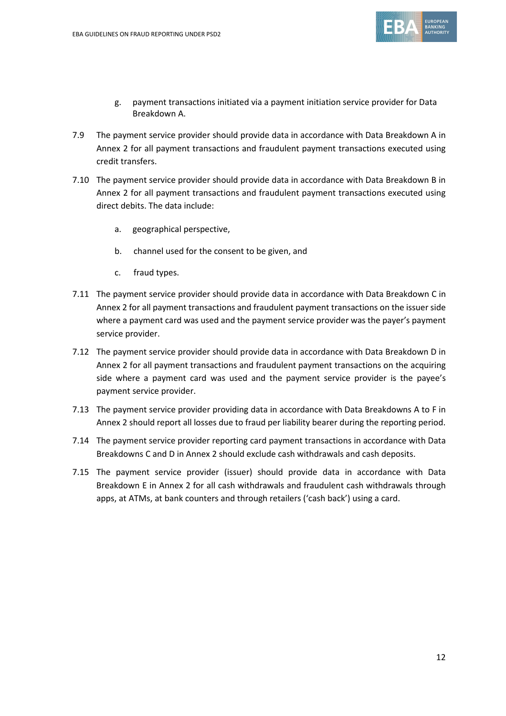

- g. payment transactions initiated via a payment initiation service provider for Data Breakdown A.
- 7.9 The payment service provider should provide data in accordance with Data Breakdown A in Annex 2 for all payment transactions and fraudulent payment transactions executed using credit transfers.
- 7.10 The payment service provider should provide data in accordance with Data Breakdown B in Annex 2 for all payment transactions and fraudulent payment transactions executed using direct debits. The data include:
	- a. geographical perspective,
	- b. channel used for the consent to be given, and
	- c. fraud types.
- 7.11 The payment service provider should provide data in accordance with Data Breakdown C in Annex 2 for all payment transactions and fraudulent payment transactions on the issuer side where a payment card was used and the payment service provider was the payer's payment service provider.
- 7.12 The payment service provider should provide data in accordance with Data Breakdown D in Annex 2 for all payment transactions and fraudulent payment transactions on the acquiring side where a payment card was used and the payment service provider is the payee's payment service provider.
- 7.13 The payment service provider providing data in accordance with Data Breakdowns A to F in Annex 2 should report all losses due to fraud per liability bearer during the reporting period.
- 7.14 The payment service provider reporting card payment transactions in accordance with Data Breakdowns C and D in Annex 2 should exclude cash withdrawals and cash deposits.
- 7.15 The payment service provider (issuer) should provide data in accordance with Data Breakdown E in Annex 2 for all cash withdrawals and fraudulent cash withdrawals through apps, at ATMs, at bank counters and through retailers ('cash back') using a card.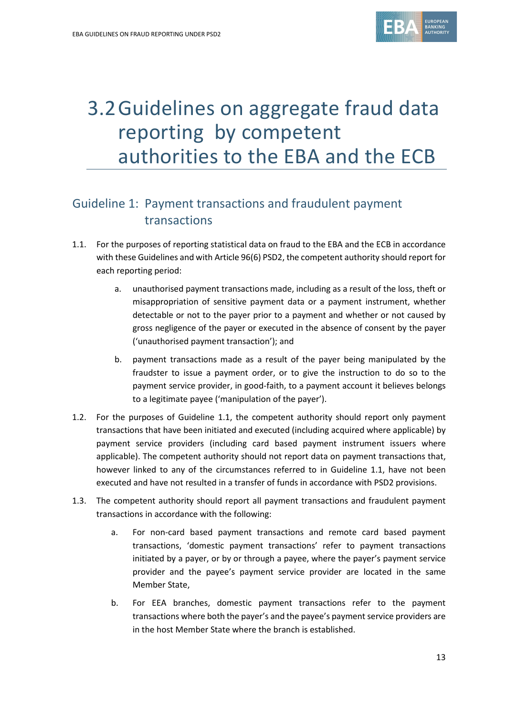

# 3.2Guidelines on aggregate fraud data reporting by competent authorities to the EBA and the ECB

# Guideline 1: Payment transactions and fraudulent payment transactions

- 1.1. For the purposes of reporting statistical data on fraud to the EBA and the ECB in accordance with these Guidelines and with Article 96(6) PSD2, the competent authority should report for each reporting period:
	- a. unauthorised payment transactions made, including as a result of the loss, theft or misappropriation of sensitive payment data or a payment instrument, whether detectable or not to the payer prior to a payment and whether or not caused by gross negligence of the payer or executed in the absence of consent by the payer ('unauthorised payment transaction'); and
	- b. payment transactions made as a result of the payer being manipulated by the fraudster to issue a payment order, or to give the instruction to do so to the payment service provider, in good-faith, to a payment account it believes belongs to a legitimate payee ('manipulation of the payer').
- 1.2. For the purposes of Guideline 1.1, the competent authority should report only payment transactions that have been initiated and executed (including acquired where applicable) by payment service providers (including card based payment instrument issuers where applicable). The competent authority should not report data on payment transactions that, however linked to any of the circumstances referred to in Guideline 1.1, have not been executed and have not resulted in a transfer of funds in accordance with PSD2 provisions.
- 1.3. The competent authority should report all payment transactions and fraudulent payment transactions in accordance with the following:
	- a. For non-card based payment transactions and remote card based payment transactions, 'domestic payment transactions' refer to payment transactions initiated by a payer, or by or through a payee, where the payer's payment service provider and the payee's payment service provider are located in the same Member State,
	- b. For EEA branches, domestic payment transactions refer to the payment transactions where both the payer's and the payee's payment service providers are in the host Member State where the branch is established.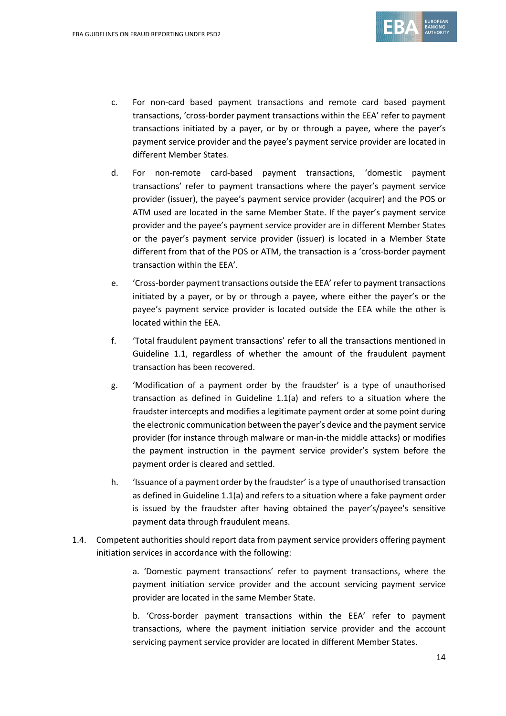

- c. For non-card based payment transactions and remote card based payment transactions, 'cross-border payment transactions within the EEA' refer to payment transactions initiated by a payer, or by or through a payee, where the payer's payment service provider and the payee's payment service provider are located in different Member States.
- d. For non-remote card-based payment transactions, 'domestic payment transactions' refer to payment transactions where the payer's payment service provider (issuer), the payee's payment service provider (acquirer) and the POS or ATM used are located in the same Member State. If the payer's payment service provider and the payee's payment service provider are in different Member States or the payer's payment service provider (issuer) is located in a Member State different from that of the POS or ATM, the transaction is a 'cross-border payment transaction within the EEA'.
- e. 'Cross-border payment transactions outside the EEA' refer to payment transactions initiated by a payer, or by or through a payee, where either the payer's or the payee's payment service provider is located outside the EEA while the other is located within the EEA.
- f. 'Total fraudulent payment transactions' refer to all the transactions mentioned in Guideline 1.1, regardless of whether the amount of the fraudulent payment transaction has been recovered.
- g. 'Modification of a payment order by the fraudster' is a type of unauthorised transaction as defined in Guideline 1.1(a) and refers to a situation where the fraudster intercepts and modifies a legitimate payment order at some point during the electronic communication between the payer's device and the payment service provider (for instance through malware or man-in-the middle attacks) or modifies the payment instruction in the payment service provider's system before the payment order is cleared and settled.
- h. 'Issuance of a payment order by the fraudster' is a type of unauthorised transaction as defined in Guideline 1.1(a) and refers to a situation where a fake payment order is issued by the fraudster after having obtained the payer's/payee's sensitive payment data through fraudulent means.
- 1.4. Competent authorities should report data from payment service providers offering payment initiation services in accordance with the following:

a. 'Domestic payment transactions' refer to payment transactions, where the payment initiation service provider and the account servicing payment service provider are located in the same Member State.

b. 'Cross-border payment transactions within the EEA' refer to payment transactions, where the payment initiation service provider and the account servicing payment service provider are located in different Member States.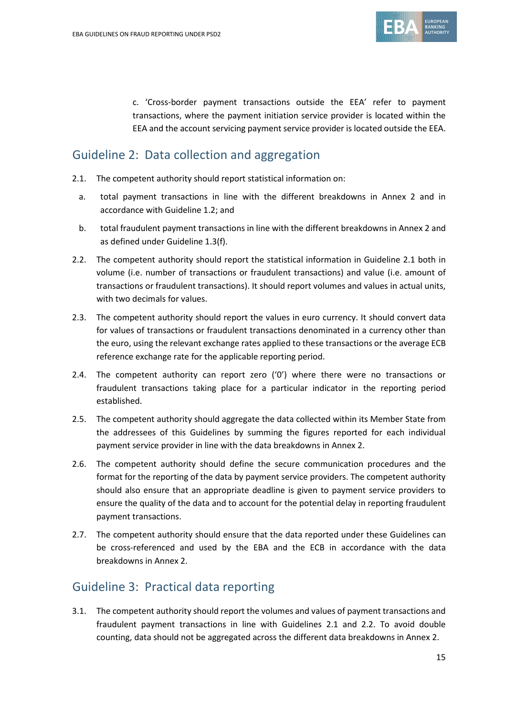

c. 'Cross-border payment transactions outside the EEA' refer to payment transactions, where the payment initiation service provider is located within the EEA and the account servicing payment service provider is located outside the EEA.

## Guideline 2: Data collection and aggregation

- 2.1. The competent authority should report statistical information on:
	- a. total payment transactions in line with the different breakdowns in Annex 2 and in accordance with Guideline 1.2; and
	- b. total fraudulent payment transactions in line with the different breakdowns in Annex 2 and as defined under Guideline 1.3(f).
- 2.2. The competent authority should report the statistical information in Guideline 2.1 both in volume (i.e. number of transactions or fraudulent transactions) and value (i.e. amount of transactions or fraudulent transactions). It should report volumes and values in actual units, with two decimals for values.
- 2.3. The competent authority should report the values in euro currency. It should convert data for values of transactions or fraudulent transactions denominated in a currency other than the euro, using the relevant exchange rates applied to these transactions or the average ECB reference exchange rate for the applicable reporting period.
- 2.4. The competent authority can report zero  $(0')$  where there were no transactions or fraudulent transactions taking place for a particular indicator in the reporting period established.
- 2.5. The competent authority should aggregate the data collected within its Member State from the addressees of this Guidelines by summing the figures reported for each individual payment service provider in line with the data breakdowns in Annex 2.
- 2.6. The competent authority should define the secure communication procedures and the format for the reporting of the data by payment service providers. The competent authority should also ensure that an appropriate deadline is given to payment service providers to ensure the quality of the data and to account for the potential delay in reporting fraudulent payment transactions.
- 2.7. The competent authority should ensure that the data reported under these Guidelines can be cross-referenced and used by the EBA and the ECB in accordance with the data breakdowns in Annex 2.

## Guideline 3: Practical data reporting

3.1. The competent authority should report the volumes and values of payment transactions and fraudulent payment transactions in line with Guidelines 2.1 and 2.2. To avoid double counting, data should not be aggregated across the different data breakdowns in Annex 2.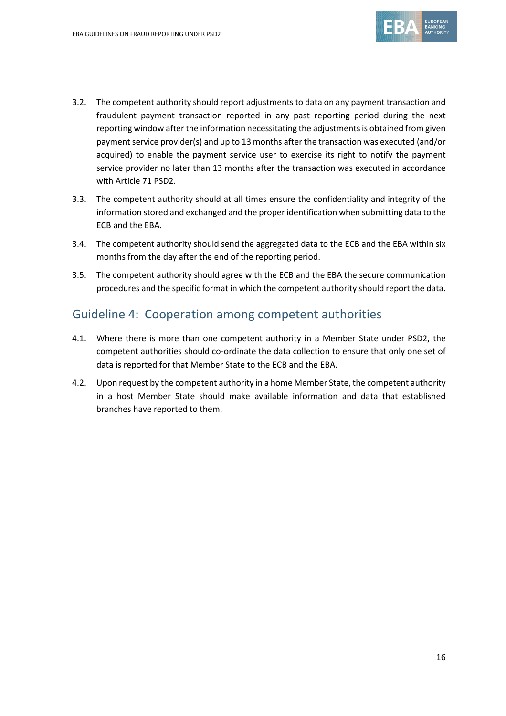

- 3.2. The competent authority should report adjustments to data on any payment transaction and fraudulent payment transaction reported in any past reporting period during the next reporting window after the information necessitating the adjustments is obtained from given payment service provider(s) and up to 13 months after the transaction was executed (and/or acquired) to enable the payment service user to exercise its right to notify the payment service provider no later than 13 months after the transaction was executed in accordance with Article 71 PSD2.
- 3.3. The competent authority should at all times ensure the confidentiality and integrity of the information stored and exchanged and the proper identification when submitting data to the ECB and the EBA.
- 3.4. The competent authority should send the aggregated data to the ECB and the EBA within six months from the day after the end of the reporting period.
- 3.5. The competent authority should agree with the ECB and the EBA the secure communication procedures and the specific format in which the competent authority should report the data.

### Guideline 4: Cooperation among competent authorities

- 4.1. Where there is more than one competent authority in a Member State under PSD2, the competent authorities should co-ordinate the data collection to ensure that only one set of data is reported for that Member State to the ECB and the EBA.
- 4.2. Upon request by the competent authority in a home Member State, the competent authority in a host Member State should make available information and data that established branches have reported to them.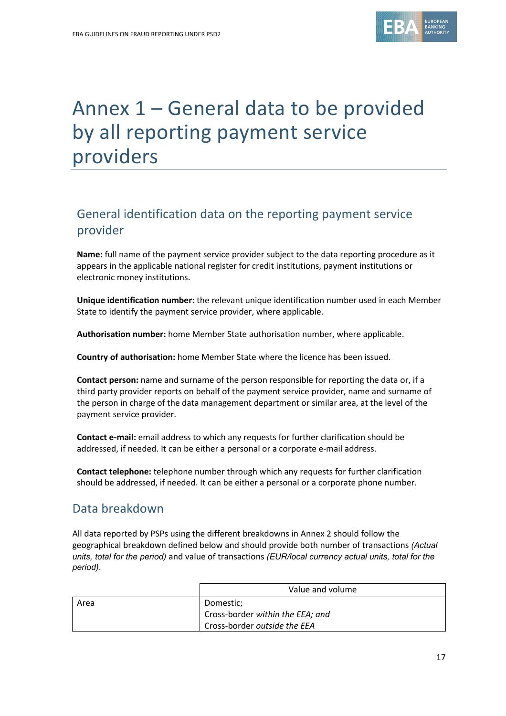

# Annex 1 – General data to be provided by all reporting payment service providers

# General identification data on the reporting payment service provider

**Name:** full name of the payment service provider subject to the data reporting procedure as it appears in the applicable national register for credit institutions, payment institutions or electronic money institutions.

**Unique identification number:** the relevant unique identification number used in each Member State to identify the payment service provider, where applicable.

**Authorisation number:** home Member State authorisation number, where applicable.

**Country of authorisation:** home Member State where the licence has been issued.

**Contact person:** name and surname of the person responsible for reporting the data or, if a third party provider reports on behalf of the payment service provider, name and surname of the person in charge of the data management department or similar area, at the level of the payment service provider.

**Contact e-mail:** email address to which any requests for further clarification should be addressed, if needed. It can be either a personal or a corporate e-mail address.

**Contact telephone:** telephone number through which any requests for further clarification should be addressed, if needed. It can be either a personal or a corporate phone number.

### Data breakdown

All data reported by PSPs using the different breakdowns in Annex 2 should follow the geographical breakdown defined below and should provide both number of transactions *(Actual units, total for the period)* and value of transactions *(EUR/local currency actual units, total for the period)*.

|      | Value and volume                 |
|------|----------------------------------|
| Area | Domestic:                        |
|      | Cross-border within the EEA; and |
|      | Cross-border outside the EEA     |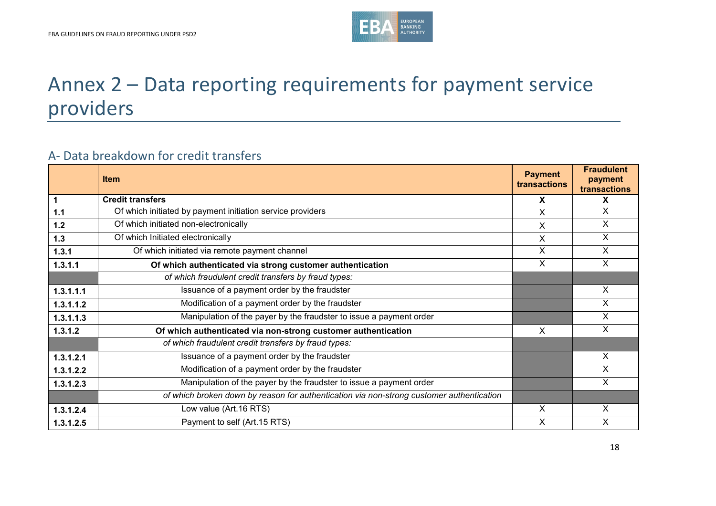

# Annex 2 – Data reporting requirements for payment service providers

## A- Data breakdown for credit transfers

|             | <b>Item</b>                                                                              | <b>Payment</b><br>transactions | <b>Fraudulent</b><br>payment<br>transactions |
|-------------|------------------------------------------------------------------------------------------|--------------------------------|----------------------------------------------|
| $\mathbf 1$ | <b>Credit transfers</b>                                                                  | X                              | X                                            |
| $1.1$       | Of which initiated by payment initiation service providers                               | X                              | X                                            |
| $1.2$       | Of which initiated non-electronically                                                    | X                              | X                                            |
| $1.3$       | Of which Initiated electronically                                                        | X                              | X                                            |
| 1.3.1       | Of which initiated via remote payment channel                                            | X                              | X                                            |
| 1.3.1.1     | Of which authenticated via strong customer authentication                                | X                              | X                                            |
|             | of which fraudulent credit transfers by fraud types:                                     |                                |                                              |
| 1.3.1.1.1   | Issuance of a payment order by the fraudster                                             |                                | X                                            |
| 1.3.1.1.2   | Modification of a payment order by the fraudster                                         |                                | X                                            |
| 1.3.1.1.3   | Manipulation of the payer by the fraudster to issue a payment order                      |                                | X                                            |
| 1.3.1.2     | Of which authenticated via non-strong customer authentication                            | X                              | X                                            |
|             | of which fraudulent credit transfers by fraud types:                                     |                                |                                              |
| 1.3.1.2.1   | Issuance of a payment order by the fraudster                                             |                                | X                                            |
| 1.3.1.2.2   | Modification of a payment order by the fraudster                                         |                                | X                                            |
| 1.3.1.2.3   | Manipulation of the payer by the fraudster to issue a payment order                      |                                | X                                            |
|             | of which broken down by reason for authentication via non-strong customer authentication |                                |                                              |
| 1.3.1.2.4   | Low value (Art.16 RTS)                                                                   | X                              | X                                            |
| 1.3.1.2.5   | Payment to self (Art.15 RTS)                                                             | X                              | X                                            |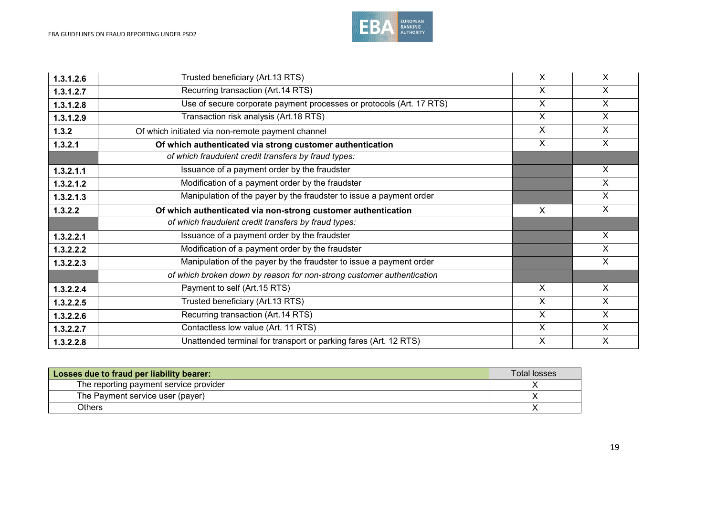

| 1.3.1.2.6 | Trusted beneficiary (Art.13 RTS)                                      | X                         | X                         |
|-----------|-----------------------------------------------------------------------|---------------------------|---------------------------|
| 1.3.1.2.7 | Recurring transaction (Art.14 RTS)                                    | $\times$                  | X                         |
| 1.3.1.2.8 | Use of secure corporate payment processes or protocols (Art. 17 RTS)  | $\overline{\mathsf{x}}$   | $\boldsymbol{\mathsf{X}}$ |
| 1.3.1.2.9 | Transaction risk analysis (Art.18 RTS)                                | $\boldsymbol{\mathsf{X}}$ | $\sf X$                   |
| 1.3.2     | Of which initiated via non-remote payment channel                     | $\sf X$                   | $\sf X$                   |
| 1.3.2.1   | Of which authenticated via strong customer authentication             | $\sf X$                   | $\times$                  |
|           | of which fraudulent credit transfers by fraud types:                  |                           |                           |
| 1.3.2.1.1 | Issuance of a payment order by the fraudster                          |                           | $\times$                  |
| 1.3.2.1.2 | Modification of a payment order by the fraudster                      |                           | $\sf X$                   |
| 1.3.2.1.3 | Manipulation of the payer by the fraudster to issue a payment order   |                           | X                         |
| 1.3.2.2   | Of which authenticated via non-strong customer authentication         | X                         | $\sf X$                   |
|           | of which fraudulent credit transfers by fraud types:                  |                           |                           |
| 1.3.2.2.1 | Issuance of a payment order by the fraudster                          |                           | $\sf X$                   |
| 1.3.2.2.2 | Modification of a payment order by the fraudster                      |                           | X                         |
| 1.3.2.2.3 | Manipulation of the payer by the fraudster to issue a payment order   |                           | $\boldsymbol{\mathsf{X}}$ |
|           | of which broken down by reason for non-strong customer authentication |                           |                           |
| 1.3.2.2.4 | Payment to self (Art.15 RTS)                                          | $\times$                  | $\times$                  |
| 1.3.2.2.5 | Trusted beneficiary (Art.13 RTS)                                      | $\sf X$                   | $\sf X$                   |
| 1.3.2.2.6 | Recurring transaction (Art.14 RTS)                                    | $\sf X$                   | $\times$                  |
| 1.3.2.2.7 | Contactless low value (Art. 11 RTS)                                   | X                         | X                         |
| 1.3.2.2.8 | Unattended terminal for transport or parking fares (Art. 12 RTS)      | $\boldsymbol{\mathsf{X}}$ | $\times$                  |

| Losses due to fraud per liability bearer: | Total losses |
|-------------------------------------------|--------------|
| The reporting payment service provider    |              |
| The Payment service user (payer)          |              |
| Others                                    |              |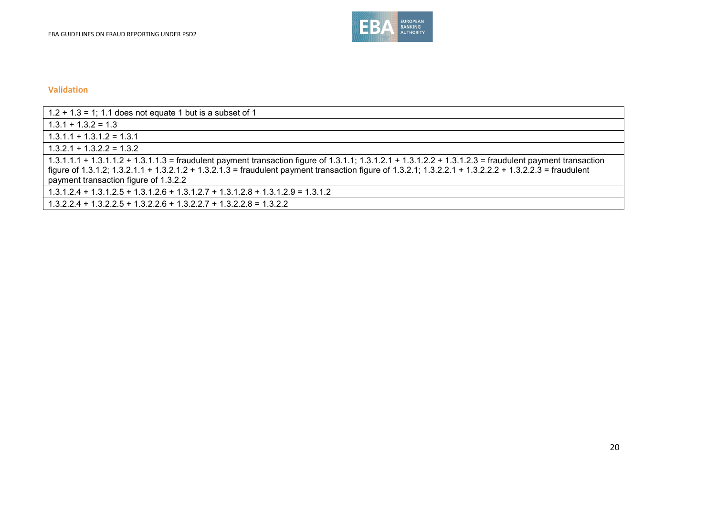

| $1.2 + 1.3 = 1$ ; 1.1 does not equate 1 but is a subset of 1                                                                                                                                                                                                                                                                                                 |
|--------------------------------------------------------------------------------------------------------------------------------------------------------------------------------------------------------------------------------------------------------------------------------------------------------------------------------------------------------------|
| $1.3.1 + 1.3.2 = 1.3$                                                                                                                                                                                                                                                                                                                                        |
| $1.3.1.1 + 1.3.1.2 = 1.3.1$                                                                                                                                                                                                                                                                                                                                  |
| $1.3.2.1 + 1.3.2.2 = 1.3.2$                                                                                                                                                                                                                                                                                                                                  |
| 1.3.1.1.1 + 1.3.1.1.2 + 1.3.1.1.3 = fraudulent payment transaction figure of 1.3.1.1; 1.3.1.2.1 + 1.3.1.2.2 + 1.3.1.2.3 = fraudulent payment transaction<br>figure of 1.3.1.2; 1.3.2.1.1 + 1.3.2.1.2 + 1.3.2.1.3 = fraudulent payment transaction figure of 1.3.2.1; 1.3.2.2.1 + 1.3.2.2.2 + 1.3.2.2.3 = fraudulent<br>payment transaction figure of 1.3.2.2 |
| $1.3.1.2.4 + 1.3.1.2.5 + 1.3.1.2.6 + 1.3.1.2.7 + 1.3.1.2.8 + 1.3.1.2.9 = 1.3.1.2$                                                                                                                                                                                                                                                                            |
| $1.3.2.2.4 + 1.3.2.2.5 + 1.3.2.2.6 + 1.3.2.2.7 + 1.3.2.2.8 = 1.3.2.2$                                                                                                                                                                                                                                                                                        |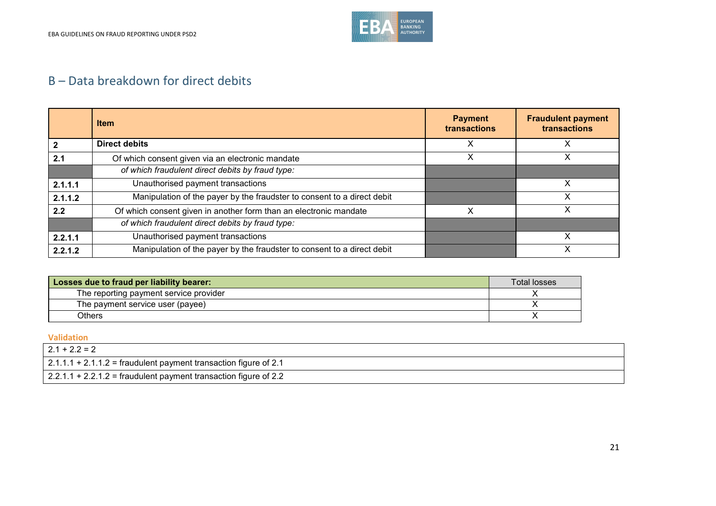

# B – Data breakdown for direct debits

|                | <b>Item</b>                                                             | <b>Payment</b><br>transactions | <b>Fraudulent payment</b><br>transactions |
|----------------|-------------------------------------------------------------------------|--------------------------------|-------------------------------------------|
| $\overline{2}$ | <b>Direct debits</b>                                                    |                                |                                           |
| 2.1            | Of which consent given via an electronic mandate                        |                                |                                           |
|                | of which fraudulent direct debits by fraud type:                        |                                |                                           |
| 2.1.1.1        | Unauthorised payment transactions                                       |                                | х                                         |
| 2.1.1.2        | Manipulation of the payer by the fraudster to consent to a direct debit |                                | v                                         |
| 2.2            | Of which consent given in another form than an electronic mandate       |                                | х                                         |
|                | of which fraudulent direct debits by fraud type:                        |                                |                                           |
| 2.2.1.1        | Unauthorised payment transactions                                       |                                | x                                         |
| 2.2.1.2        | Manipulation of the payer by the fraudster to consent to a direct debit |                                | X                                         |

| Losses due to fraud per liability bearer: | Total losses |
|-------------------------------------------|--------------|
| The reporting payment service provider    |              |
| The payment service user (payee)          |              |
| <b>Others</b>                             |              |

| $2.1 + 2.2 = 2$                                                    |
|--------------------------------------------------------------------|
| $2.1.1.1 + 2.1.1.2$ = fraudulent payment transaction figure of 2.1 |
| $2.2.1.1 + 2.2.1.2 =$ fraudulent payment transaction figure of 2.2 |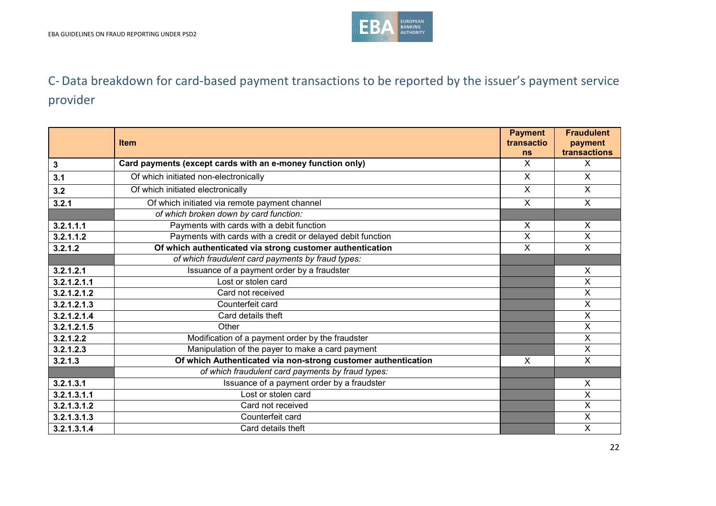

# C- Data breakdown for card-based payment transactions to be reported by the issuer's payment service provider

|              | <b>Item</b>                                                   | <b>Payment</b><br>transactio | <b>Fraudulent</b><br>payment |
|--------------|---------------------------------------------------------------|------------------------------|------------------------------|
|              |                                                               | <b>ns</b>                    | transactions                 |
| $\mathbf{3}$ | Card payments (except cards with an e-money function only)    | X                            | $\mathsf{X}$                 |
| 3.1          | Of which initiated non-electronically                         | $\sf X$                      | $\mathsf{X}$                 |
| 3.2          | Of which initiated electronically                             | X                            | X                            |
| 3.2.1        | Of which initiated via remote payment channel                 | $\mathsf{X}$                 | $\mathsf{X}$                 |
|              | of which broken down by card function:                        |                              |                              |
| 3.2.1.1.1    | Payments with cards with a debit function                     | X                            | X                            |
| 3.2.1.1.2    | Payments with cards with a credit or delayed debit function   | X                            | X                            |
| 3.2.1.2      | Of which authenticated via strong customer authentication     | X                            | $\mathsf{X}$                 |
|              | of which fraudulent card payments by fraud types:             |                              |                              |
| 3.2.1.2.1    | Issuance of a payment order by a fraudster                    |                              | X                            |
| 3.2.1.2.1.1  | Lost or stolen card                                           |                              | X                            |
| 3.2.1.2.1.2  | Card not received                                             |                              | X                            |
| 3.2.1.2.1.3  | Counterfeit card                                              |                              | $\mathsf{X}$                 |
| 3.2.1.2.1.4  | Card details theft                                            |                              | X                            |
| 3.2.1.2.1.5  | Other                                                         |                              | X                            |
| 3.2.1.2.2    | Modification of a payment order by the fraudster              |                              | X                            |
| 3.2.1.2.3    | Manipulation of the payer to make a card payment              |                              | X                            |
| 3.2.1.3      | Of which Authenticated via non-strong customer authentication | X                            | $\overline{\mathsf{x}}$      |
|              | of which fraudulent card payments by fraud types:             |                              |                              |
| 3.2.1.3.1    | Issuance of a payment order by a fraudster                    |                              | $\mathsf{X}$                 |
| 3.2.1.3.1.1  | Lost or stolen card                                           |                              | X                            |
| 3.2.1.3.1.2  | Card not received                                             |                              | Χ                            |
| 3.2.1.3.1.3  | Counterfeit card                                              |                              | X                            |
| 3.2.1.3.1.4  | Card details theft                                            |                              | X                            |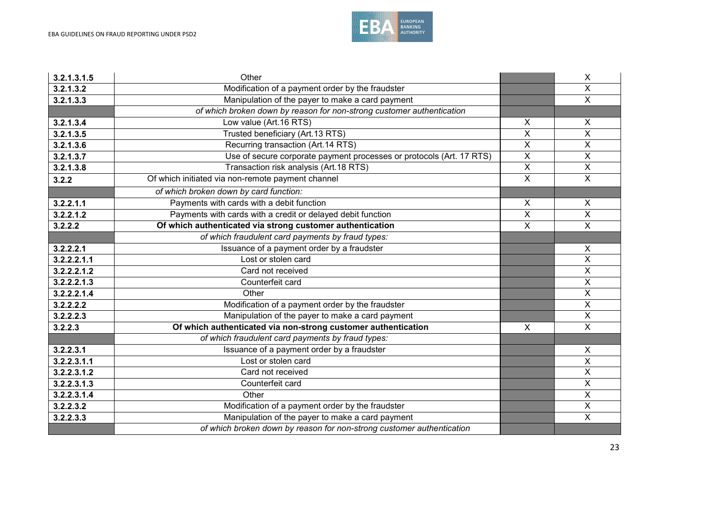

| 3.2.1.3.1.5 | Other                                                                 |                         | $\pmb{\times}$            |
|-------------|-----------------------------------------------------------------------|-------------------------|---------------------------|
| 3.2.1.3.2   | Modification of a payment order by the fraudster                      |                         | $\overline{\mathsf{x}}$   |
| 3.2.1.3.3   | Manipulation of the payer to make a card payment                      |                         | $\overline{\mathsf{x}}$   |
|             | of which broken down by reason for non-strong customer authentication |                         |                           |
| 3.2.1.3.4   | Low value (Art.16 RTS)                                                | X                       | $\boldsymbol{\mathsf{X}}$ |
| 3.2.1.3.5   | Trusted beneficiary (Art.13 RTS)                                      | X                       | $\overline{\mathsf{x}}$   |
| 3.2.1.3.6   | Recurring transaction (Art.14 RTS)                                    | $\overline{\mathsf{x}}$ | $\overline{\mathsf{x}}$   |
| 3.2.1.3.7   | Use of secure corporate payment processes or protocols (Art. 17 RTS)  | $\overline{\mathsf{x}}$ | $\overline{\mathsf{x}}$   |
| 3.2.1.3.8   | Transaction risk analysis (Art.18 RTS)                                | $\pmb{\times}$          | $\pmb{\times}$            |
| 3.2.2       | Of which initiated via non-remote payment channel                     | $\overline{\mathsf{x}}$ | $\overline{\mathsf{x}}$   |
|             | of which broken down by card function:                                |                         |                           |
| 3.2.2.1.1   | Payments with cards with a debit function                             | X                       | X                         |
| 3.2.2.1.2   | Payments with cards with a credit or delayed debit function           | $\overline{\mathsf{X}}$ | $\overline{X}$            |
| 3.2.2.2     | Of which authenticated via strong customer authentication             | $\overline{\mathsf{x}}$ | $\overline{\mathsf{x}}$   |
|             | of which fraudulent card payments by fraud types:                     |                         |                           |
| 3.2.2.2.1   | Issuance of a payment order by a fraudster                            |                         | X                         |
| 3.2.2.2.1.1 | Lost or stolen card                                                   |                         | $\overline{\mathsf{x}}$   |
| 3.2.2.2.1.2 | Card not received                                                     |                         | $\overline{\mathsf{x}}$   |
| 3.2.2.2.1.3 | Counterfeit card                                                      |                         | $\boldsymbol{\mathsf{X}}$ |
| 3.2.2.2.1.4 | Other                                                                 |                         | $\overline{\mathsf{x}}$   |
| 3.2.2.2.2   | Modification of a payment order by the fraudster                      |                         | $\pmb{\times}$            |
| 3.2.2.2.3   | Manipulation of the payer to make a card payment                      |                         | $\pmb{\times}$            |
| 3.2.2.3     | Of which authenticated via non-strong customer authentication         | X                       | $\overline{\mathsf{x}}$   |
|             | of which fraudulent card payments by fraud types:                     |                         |                           |
| 3.2.2.3.1   | Issuance of a payment order by a fraudster                            |                         | X                         |
| 3.2.2.3.1.1 | Lost or stolen card                                                   |                         | $\pmb{\times}$            |
| 3.2.2.3.1.2 | Card not received                                                     |                         | $\overline{X}$            |
| 3.2.2.3.1.3 | Counterfeit card                                                      |                         | $\overline{X}$            |
| 3.2.2.3.1.4 | Other                                                                 |                         | $\overline{X}$            |
| 3.2.2.3.2   | Modification of a payment order by the fraudster                      |                         | $\pmb{\times}$            |
| 3.2.2.3.3   | Manipulation of the payer to make a card payment                      |                         | $\overline{X}$            |
|             | of which broken down by reason for non-strong customer authentication |                         |                           |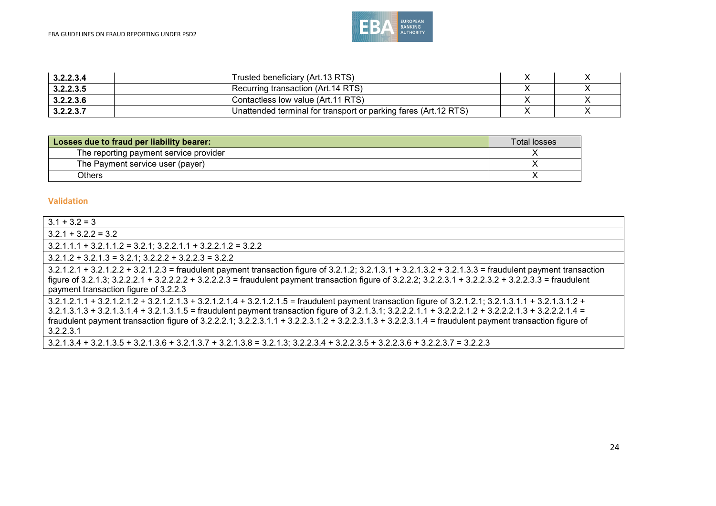

| 3.2.2.3.4 | Trusted beneficiary (Art.13 RTS)                                 |  |
|-----------|------------------------------------------------------------------|--|
| 3.2.2.3.5 | Recurring transaction (Art.14 RTS)                               |  |
| 3.2.2.3.6 | Contactless low value (Art. 11 RTS)                              |  |
| 3.2.2.3.7 | Unattended terminal for transport or parking fares (Art. 12 RTS) |  |

| Losses due to fraud per liability bearer: | <b>Total losses</b> |
|-------------------------------------------|---------------------|
| The reporting payment service provider    |                     |
| The Payment service user (payer)          |                     |
| Others                                    |                     |

| $3.1 + 3.2 = 3$                                                                                                                                                                                                                                                                                                                                                                                                                                                                          |
|------------------------------------------------------------------------------------------------------------------------------------------------------------------------------------------------------------------------------------------------------------------------------------------------------------------------------------------------------------------------------------------------------------------------------------------------------------------------------------------|
| $3.2.1 + 3.2.2 = 3.2$                                                                                                                                                                                                                                                                                                                                                                                                                                                                    |
| $3.2.1.1.1 + 3.2.1.1.2 = 3.2.1$ ; $3.2.2.1.1 + 3.2.2.1.2 = 3.2.2$                                                                                                                                                                                                                                                                                                                                                                                                                        |
| $3.2.1.2 + 3.2.1.3 = 3.2.1$ ; $3.2.2.2 + 3.2.2.3 = 3.2.2$                                                                                                                                                                                                                                                                                                                                                                                                                                |
| $3.2.1.2.1 + 3.2.1.2.2 + 3.2.1.2.3$ = fraudulent payment transaction figure of $3.2.1.2$ ; $3.2.1.3.1 + 3.2.1.3.2 + 3.2.1.3.3$ = fraudulent payment transaction<br>figure of 3.2.1.3; 3.2.2.2.1 + 3.2.2.2.2 + 3.2.2.2.3 = fraudulent payment transaction figure of 3.2.2.2; 3.2.2.3.1 + 3.2.2.3.2 + 3.2.2.3.3 = fraudulent<br>payment transaction figure of 3.2.2.3                                                                                                                      |
| 3.2.1.2.1.1 + 3.2.1.2.1.2 + 3.2.1.2.1.3 + 3.2.1.2.1.4 + 3.2.1.2.1.5 = fraudulent payment transaction figure of 3.2.1.2.1; 3.2.1.3.1.1 + 3.2.1.3.1.2 +<br>3.2.1.3.1.3 + 3.2.1.3.1.4 + 3.2.1.3.1.5 = fraudulent payment transaction figure of 3.2.1.3.1; 3.2.2.2.1.1 + 3.2.2.2.1.2 + 3.2.2.2.1.3 + 3.2.2.2.1.4 =<br>fraudulent payment transaction figure of $3.2.2.2.1$ ; $3.2.2.3.1.1 + 3.2.2.3.1.2 + 3.2.2.3.1.3 + 3.2.2.3.1.4 =$ fraudulent payment transaction figure of<br>3.2.2.3.1 |
| $3.2.1.3.4 + 3.2.1.3.5 + 3.2.1.3.6 + 3.2.1.3.7 + 3.2.1.3.8 = 3.2.1.3$ ; $3.2.2.3.4 + 3.2.2.3.5 + 3.2.2.3.6 + 3.2.2.3.7 = 3.2.2.3$                                                                                                                                                                                                                                                                                                                                                        |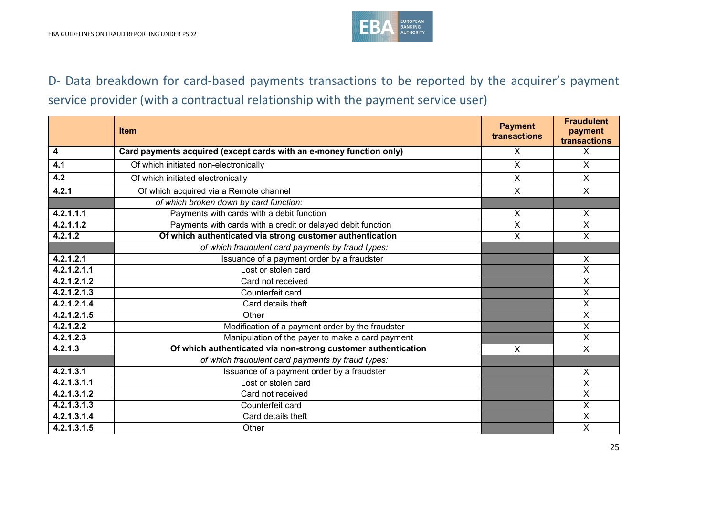

# D- Data breakdown for card-based payments transactions to be reported by the acquirer's payment service provider (with a contractual relationship with the payment service user)

|                         | <b>Item</b>                                                         | <b>Payment</b><br>transactions | <b>Fraudulent</b><br>payment<br>transactions |
|-------------------------|---------------------------------------------------------------------|--------------------------------|----------------------------------------------|
| $\overline{\mathbf{4}}$ | Card payments acquired (except cards with an e-money function only) | X                              | $\mathsf{X}$                                 |
| 4.1                     | Of which initiated non-electronically                               | $\mathsf{X}$                   | $\mathsf{X}$                                 |
| 4.2                     | Of which initiated electronically                                   | $\mathsf{X}$                   | $\mathsf{X}$                                 |
| 4.2.1                   | Of which acquired via a Remote channel                              | $\overline{X}$                 | $\overline{X}$                               |
|                         | of which broken down by card function:                              |                                |                                              |
| 4.2.1.1.1               | Payments with cards with a debit function                           | X                              | X                                            |
| 4.2.1.1.2               | Payments with cards with a credit or delayed debit function         | X                              | X                                            |
| 4.2.1.2                 | Of which authenticated via strong customer authentication           | $\overline{X}$                 | $\overline{\mathsf{x}}$                      |
|                         | of which fraudulent card payments by fraud types:                   |                                |                                              |
| 4.2.1.2.1               | Issuance of a payment order by a fraudster                          |                                | X                                            |
| 4.2.1.2.1.1             | Lost or stolen card                                                 |                                | $\overline{\mathsf{x}}$                      |
| 4.2.1.2.1.2             | Card not received                                                   |                                | $\mathsf{X}$                                 |
| 4.2.1.2.1.3             | Counterfeit card                                                    |                                | $\overline{\mathsf{x}}$                      |
| 4.2.1.2.1.4             | Card details theft                                                  |                                | X                                            |
| 4.2.1.2.1.5             | Other                                                               |                                | X                                            |
| 4.2.1.2.2               | Modification of a payment order by the fraudster                    |                                | $\overline{X}$                               |
| 4.2.1.2.3               | Manipulation of the payer to make a card payment                    |                                | $\overline{\mathsf{x}}$                      |
| 4.2.1.3                 | Of which authenticated via non-strong customer authentication       | $\mathsf{X}$                   | $\overline{X}$                               |
|                         | of which fraudulent card payments by fraud types:                   |                                |                                              |
| 4.2.1.3.1               | Issuance of a payment order by a fraudster                          |                                | X                                            |
| 4.2.1.3.1.1             | Lost or stolen card                                                 |                                | X                                            |
| 4.2.1.3.1.2             | Card not received                                                   |                                | $\overline{\mathsf{x}}$                      |
| 4.2.1.3.1.3             | Counterfeit card                                                    |                                | X                                            |
| 4.2.1.3.1.4             | Card details theft                                                  |                                | X                                            |
| 4.2.1.3.1.5             | Other                                                               |                                | $\overline{\mathsf{x}}$                      |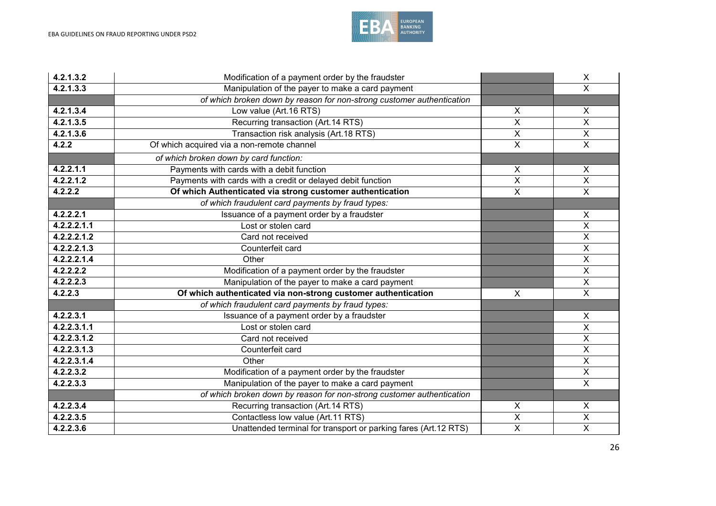

| 4.2.1.3.2   | Modification of a payment order by the fraudster                            |                         | $\pmb{\times}$            |
|-------------|-----------------------------------------------------------------------------|-------------------------|---------------------------|
| 4.2.1.3.3   | Manipulation of the payer to make a card payment<br>$\overline{\mathsf{x}}$ |                         |                           |
|             | of which broken down by reason for non-strong customer authentication       |                         |                           |
| 4.2.1.3.4   | Low value (Art.16 RTS)                                                      | X                       | X                         |
| 4.2.1.3.5   | Recurring transaction (Art.14 RTS)                                          | $\overline{\mathsf{x}}$ | $\boldsymbol{\mathsf{X}}$ |
| 4.2.1.3.6   | Transaction risk analysis (Art.18 RTS)                                      | X                       | $\overline{\mathsf{x}}$   |
| 4.2.2       | Of which acquired via a non-remote channel                                  | $\overline{\mathsf{x}}$ | $\overline{\mathsf{x}}$   |
|             | of which broken down by card function:                                      |                         |                           |
| 4.2.2.1.1   | Payments with cards with a debit function                                   | X                       | X                         |
| 4.2.2.1.2   | Payments with cards with a credit or delayed debit function                 | $\overline{\mathsf{x}}$ | $\overline{\mathsf{x}}$   |
| 4.2.2.2     | Of which Authenticated via strong customer authentication                   | $\overline{\mathsf{x}}$ | $\overline{X}$            |
|             | of which fraudulent card payments by fraud types:                           |                         |                           |
| 4.2.2.2.1   | Issuance of a payment order by a fraudster                                  |                         | $\boldsymbol{\mathsf{X}}$ |
| 4.2.2.2.1.1 | Lost or stolen card                                                         |                         | $\overline{\mathsf{x}}$   |
| 4.2.2.2.1.2 | Card not received                                                           |                         | $\overline{\mathsf{x}}$   |
| 4.2.2.2.1.3 | Counterfeit card                                                            |                         | $\pmb{\times}$            |
| 4.2.2.2.1.4 | Other                                                                       |                         | $\overline{\mathsf{x}}$   |
| 4.2.2.2.2   | Modification of a payment order by the fraudster                            |                         | $\overline{\mathsf{x}}$   |
| 4.2.2.2.3   | Manipulation of the payer to make a card payment                            |                         | $\boldsymbol{\mathsf{X}}$ |
| 4.2.2.3     | Of which authenticated via non-strong customer authentication<br>$\sf X$    |                         | $\overline{X}$            |
|             | of which fraudulent card payments by fraud types:                           |                         |                           |
| 4.2.2.3.1   | Issuance of a payment order by a fraudster                                  |                         | X                         |
| 4.2.2.3.1.1 | Lost or stolen card                                                         |                         | $\sf X$                   |
| 4.2.2.3.1.2 | Card not received                                                           |                         | $\overline{\mathsf{x}}$   |
| 4.2.2.3.1.3 | Counterfeit card                                                            |                         | $\overline{\mathsf{x}}$   |
| 4.2.2.3.1.4 | Other                                                                       |                         | $\overline{\mathsf{x}}$   |
| 4.2.2.3.2   | Modification of a payment order by the fraudster                            |                         | $\overline{\mathsf{x}}$   |
| 4.2.2.3.3   | Manipulation of the payer to make a card payment                            |                         | $\overline{\mathsf{x}}$   |
|             | of which broken down by reason for non-strong customer authentication       |                         |                           |
| 4.2.2.3.4   | Recurring transaction (Art.14 RTS)                                          | $\pmb{\times}$          | $\boldsymbol{\mathsf{X}}$ |
| 4.2.2.3.5   | Contactless low value (Art.11 RTS)                                          | $\overline{\mathsf{X}}$ | $\overline{X}$            |
| 4.2.2.3.6   | Unattended terminal for transport or parking fares (Art.12 RTS)             | $\overline{\mathsf{x}}$ | $\overline{\mathsf{x}}$   |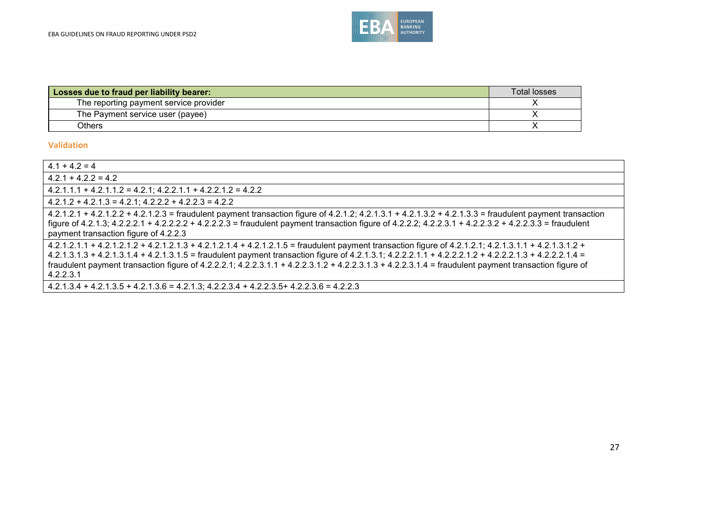

| Losses due to fraud per liability bearer: | <b>Total losses</b> |
|-------------------------------------------|---------------------|
| The reporting payment service provider    |                     |
| The Payment service user (payee)          |                     |
| <b>Others</b>                             |                     |

| $4.1 + 4.2 = 4$                                                                                                                                                                                                                                                                                                                                                                                                                                                                       |
|---------------------------------------------------------------------------------------------------------------------------------------------------------------------------------------------------------------------------------------------------------------------------------------------------------------------------------------------------------------------------------------------------------------------------------------------------------------------------------------|
| $4.2.1 + 4.2.2 = 4.2$                                                                                                                                                                                                                                                                                                                                                                                                                                                                 |
| $4.2.1.1.1 + 4.2.1.1.2 = 4.2.1$ ; $4.2.2.1.1 + 4.2.2.1.2 = 4.2.2$                                                                                                                                                                                                                                                                                                                                                                                                                     |
| $4.2.1.2 + 4.2.1.3 = 4.2.1$ ; $4.2.2.2 + 4.2.2.3 = 4.2.2$                                                                                                                                                                                                                                                                                                                                                                                                                             |
| 4.2.1.2.1 + 4.2.1.2.2 + 4.2.1.2.3 = fraudulent payment transaction figure of 4.2.1.2; 4.2.1.3.1 + 4.2.1.3.2 + 4.2.1.3.3 = fraudulent payment transaction<br>figure of 4.2.1.3; 4.2.2.2.1 + 4.2.2.2.2 + 4.2.2.2.3 = fraudulent payment transaction figure of 4.2.2.2; 4.2.2.3.1 + 4.2.2.3.2 + 4.2.2.3.3 = fraudulent<br>payment transaction figure of 4.2.2.3                                                                                                                          |
| 4.2.1.2.1.1 + 4.2.1.2.1.2 + 4.2.1.2.1.3 + 4.2.1.2.1.4 + 4.2.1.2.1.5 = fraudulent payment transaction figure of 4.2.1.2.1; 4.2.1.3.1.1 + 4.2.1.3.1.2 +<br>4.2.1.3.1.3 + 4.2.1.3.1.4 + 4.2.1.3.1.5 = fraudulent payment transaction figure of 4.2.1.3.1; 4.2.2.2.1.1 + 4.2.2.2.1.2 + 4.2.2.2.1.3 + 4.2.2.2.1.4 =<br>fraudulent payment transaction figure of 4.2.2.2.1; $4.2.2.3.1.1 + 4.2.2.3.1.2 + 4.2.2.3.1.3 + 4.2.2.3.1.4 =$ fraudulent payment transaction figure of<br>4.2.2.3.1 |
| $4.2.1.3.4 + 4.2.1.3.5 + 4.2.1.3.6 = 4.2.1.3$ ; $4.2.2.3.4 + 4.2.2.3.5 + 4.2.2.3.6 = 4.2.2.3$                                                                                                                                                                                                                                                                                                                                                                                         |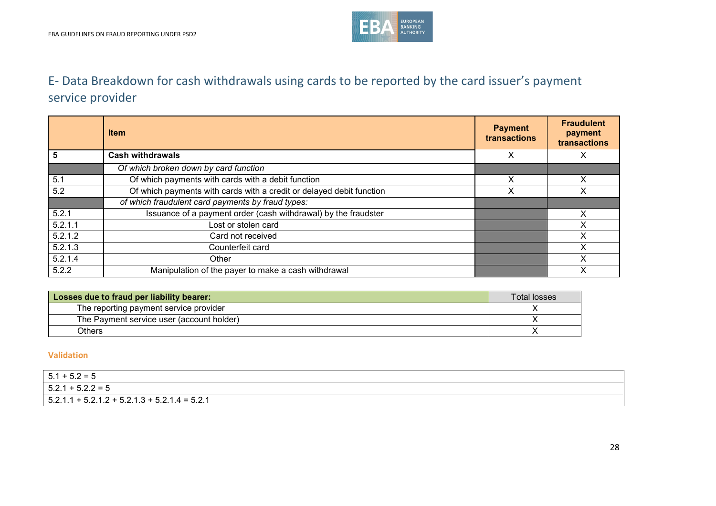

# E- Data Breakdown for cash withdrawals using cards to be reported by the card issuer's payment service provider

|         | <b>Item</b>                                                          | <b>Payment</b><br>transactions | <b>Fraudulent</b><br>payment<br>transactions |
|---------|----------------------------------------------------------------------|--------------------------------|----------------------------------------------|
| 5       | <b>Cash withdrawals</b>                                              | X                              | X                                            |
|         | Of which broken down by card function                                |                                |                                              |
| 5.1     | Of which payments with cards with a debit function                   | х                              | x                                            |
| 5.2     | Of which payments with cards with a credit or delayed debit function | х                              |                                              |
|         | of which fraudulent card payments by fraud types:                    |                                |                                              |
| 5.2.1   | Issuance of a payment order (cash withdrawal) by the fraudster       |                                | X                                            |
| 5.2.1.1 | Lost or stolen card                                                  |                                |                                              |
| 5.2.1.2 | Card not received                                                    |                                | X                                            |
| 5.2.1.3 | Counterfeit card                                                     |                                |                                              |
| 5.2.1.4 | Other                                                                |                                | X                                            |
| 5.2.2   | Manipulation of the payer to make a cash withdrawal                  |                                | X                                            |

| Losses due to fraud per liability bearer: | <b>Total losses</b> |
|-------------------------------------------|---------------------|
| The reporting payment service provider    |                     |
| The Payment service user (account holder) |                     |
| Others                                    |                     |

| $5.1 + 5.2 = 5$                                 |
|-------------------------------------------------|
| $5.2.1 + 5.2.2 = 5$                             |
| $5.2.1.1 + 5.2.1.2 + 5.2.1.3 + 5.2.1.4 = 5.2.1$ |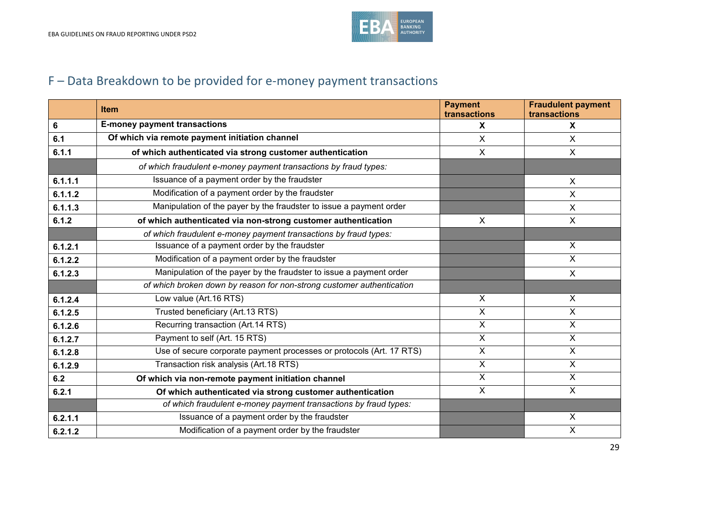

# F – Data Breakdown to be provided for e-money payment transactions

|         | <b>Item</b>                                                           | <b>Payment</b><br>transactions | <b>Fraudulent payment</b><br>transactions |
|---------|-----------------------------------------------------------------------|--------------------------------|-------------------------------------------|
| 6       | <b>E-money payment transactions</b>                                   | X                              | $\mathbf{x}$                              |
| 6.1     | Of which via remote payment initiation channel                        | $\sf X$                        | X                                         |
| 6.1.1   | of which authenticated via strong customer authentication             | X                              | X                                         |
|         | of which fraudulent e-money payment transactions by fraud types:      |                                |                                           |
| 6.1.1.1 | Issuance of a payment order by the fraudster                          |                                | $\sf X$                                   |
| 6.1.1.2 | Modification of a payment order by the fraudster                      |                                | $\sf X$                                   |
| 6.1.1.3 | Manipulation of the payer by the fraudster to issue a payment order   |                                | X                                         |
| 6.1.2   | of which authenticated via non-strong customer authentication         | $\sf X$                        | $\mathsf{X}$                              |
|         | of which fraudulent e-money payment transactions by fraud types:      |                                |                                           |
| 6.1.2.1 | Issuance of a payment order by the fraudster                          |                                | $\sf X$                                   |
| 6.1.2.2 | Modification of a payment order by the fraudster                      |                                | $\overline{\mathsf{x}}$                   |
| 6.1.2.3 | Manipulation of the payer by the fraudster to issue a payment order   |                                | $\mathsf{X}$                              |
|         | of which broken down by reason for non-strong customer authentication |                                |                                           |
| 6.1.2.4 | Low value (Art.16 RTS)                                                | $\sf X$                        | $\mathsf{X}$                              |
| 6.1.2.5 | Trusted beneficiary (Art.13 RTS)                                      | $\mathsf{X}$                   | $\mathsf{X}$                              |
| 6.1.2.6 | Recurring transaction (Art.14 RTS)                                    | $\overline{X}$                 | $\overline{\mathsf{x}}$                   |
| 6.1.2.7 | Payment to self (Art. 15 RTS)                                         | $\overline{\mathsf{x}}$        | $\overline{\mathsf{x}}$                   |
| 6.1.2.8 | Use of secure corporate payment processes or protocols (Art. 17 RTS)  | $\boldsymbol{\mathsf{X}}$      | X                                         |
| 6.1.2.9 | Transaction risk analysis (Art.18 RTS)                                | $\sf X$                        | $\mathsf{X}$                              |
| 6.2     | Of which via non-remote payment initiation channel                    | X                              | X                                         |
| 6.2.1   | Of which authenticated via strong customer authentication             | $\boldsymbol{\mathsf{X}}$      | $\boldsymbol{\mathsf{X}}$                 |
|         | of which fraudulent e-money payment transactions by fraud types:      |                                |                                           |
| 6.2.1.1 | Issuance of a payment order by the fraudster                          |                                | $\boldsymbol{\mathsf{X}}$                 |
| 6.2.1.2 | Modification of a payment order by the fraudster                      |                                | $\boldsymbol{\mathsf{X}}$                 |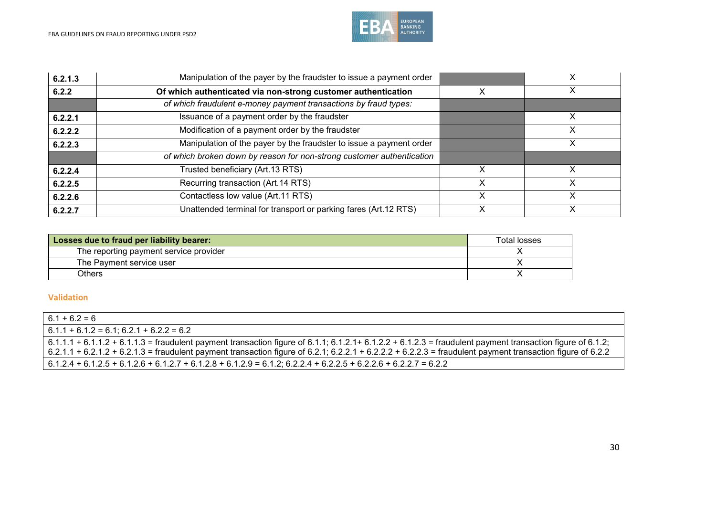

| 6.2.1.3 | Manipulation of the payer by the fraudster to issue a payment order   |   |             |
|---------|-----------------------------------------------------------------------|---|-------------|
| 6.2.2   | Of which authenticated via non-strong customer authentication         |   | ↗           |
|         | of which fraudulent e-money payment transactions by fraud types:      |   |             |
| 6.2.2.1 | Issuance of a payment order by the fraudster                          |   | Χ           |
| 6.2.2.2 | Modification of a payment order by the fraudster                      |   |             |
| 6.2.2.3 | Manipulation of the payer by the fraudster to issue a payment order   |   |             |
|         | of which broken down by reason for non-strong customer authentication |   |             |
| 6.2.2.4 | Trusted beneficiary (Art.13 RTS)                                      |   |             |
| 6.2.2.5 | Recurring transaction (Art.14 RTS)                                    | х | 丷           |
| 6.2.2.6 | Contactless low value (Art.11 RTS)                                    | х | Χ           |
| 6.2.2.7 | Unattended terminal for transport or parking fares (Art.12 RTS)       |   | $\check{ }$ |

| Losses due to fraud per liability bearer: | Total losses |
|-------------------------------------------|--------------|
| The reporting payment service provider    |              |
| The Payment service user                  |              |
| Others                                    |              |

| $6.1 + 6.2 = 6$                                                                                                                                                |
|----------------------------------------------------------------------------------------------------------------------------------------------------------------|
| $6.1.1 + 6.1.2 = 6.1$ ; 6.2.1 + 6.2.2 = 6.2                                                                                                                    |
| $6.1.1.1 + 6.1.1.2 + 6.1.1.3$ = fraudulent payment transaction figure of 6.1.1; 6.1.2.1+ 6.1.2.2 + 6.1.2.3 = fraudulent payment transaction figure of 6.1.2;   |
| $\,6.2.1.1 + 6.2.1.2 + 6.2.1.3$ = fraudulent payment transaction figure of 6.2.1; 6.2.2.1 + 6.2.2.2 + 6.2.2.3 = fraudulent payment transaction figure of 6.2.2 |
| $6.1.2.4 + 6.1.2.5 + 6.1.2.6 + 6.1.2.7 + 6.1.2.8 + 6.1.2.9 = 6.1.2$ ; 6.2.2.4 + 6.2.2.5 + 6.2.2.6 + 6.2.2.7 = 6.2.2                                            |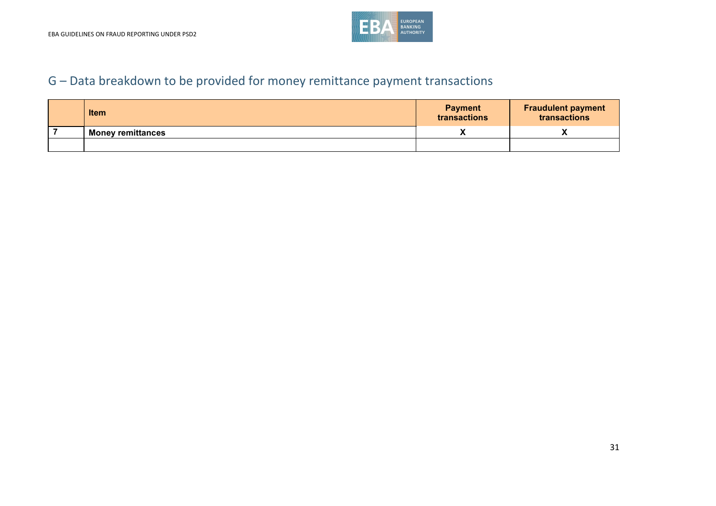

# G – Data breakdown to be provided for money remittance payment transactions

| <b>Item</b>              | <b>Payment</b><br>transactions | <b>Fraudulent payment</b><br>transactions |
|--------------------------|--------------------------------|-------------------------------------------|
| <b>Money remittances</b> |                                |                                           |
|                          |                                |                                           |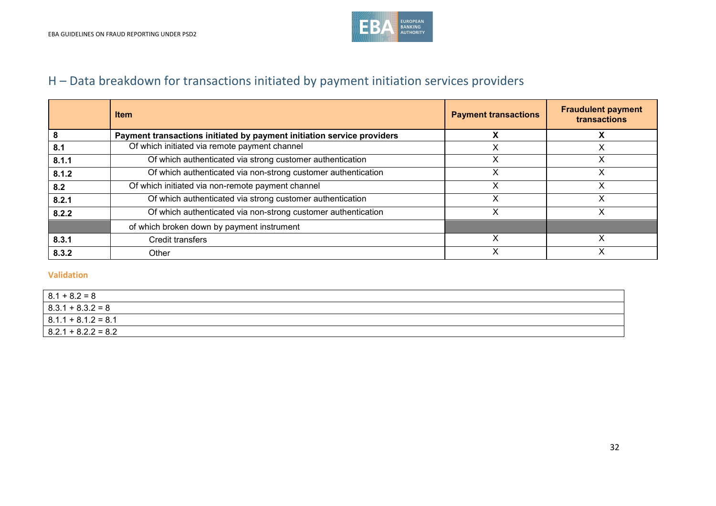

# H – Data breakdown for transactions initiated by payment initiation services providers

|       | <b>Item</b>                                                            | <b>Payment transactions</b> | <b>Fraudulent payment</b><br>transactions |
|-------|------------------------------------------------------------------------|-----------------------------|-------------------------------------------|
|       | Payment transactions initiated by payment initiation service providers |                             |                                           |
| 8.1   | Of which initiated via remote payment channel                          |                             |                                           |
| 8.1.1 | Of which authenticated via strong customer authentication              |                             |                                           |
| 8.1.2 | Of which authenticated via non-strong customer authentication          |                             |                                           |
| 8.2   | Of which initiated via non-remote payment channel                      |                             | х                                         |
| 8.2.1 | Of which authenticated via strong customer authentication              | х                           | х                                         |
| 8.2.2 | Of which authenticated via non-strong customer authentication          |                             |                                           |
|       | of which broken down by payment instrument                             |                             |                                           |
| 8.3.1 | <b>Credit transfers</b>                                                |                             |                                           |
| 8.3.2 | Other                                                                  |                             |                                           |

| $8.1 + 8.2 = 8$         |  |
|-------------------------|--|
| $  8.3.1 + 8.3.2 = 8$   |  |
| $  8.1.1 + 8.1.2 = 8.1$ |  |
| $  8.2.1 + 8.2.2 = 8.2$ |  |